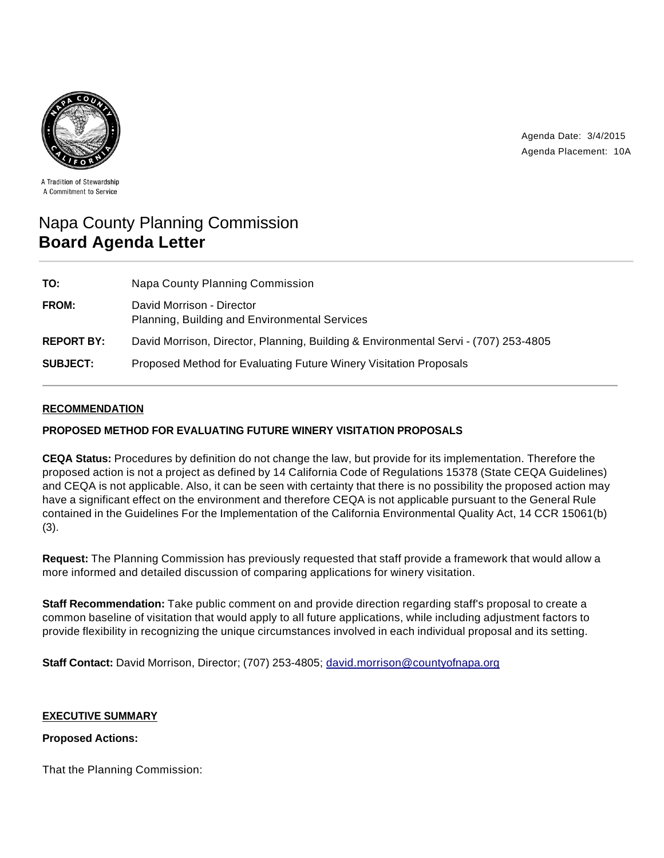

Agenda Date: 3/4/2015 Agenda Placement: 10A

A Tradition of Stewardship A Commitment to Service

# Napa County Planning Commission **Board Agenda Letter**

| TO:               | Napa County Planning Commission                                                     |
|-------------------|-------------------------------------------------------------------------------------|
| FROM:             | David Morrison - Director<br>Planning, Building and Environmental Services          |
| <b>REPORT BY:</b> | David Morrison, Director, Planning, Building & Environmental Servi - (707) 253-4805 |
| <b>SUBJECT:</b>   | Proposed Method for Evaluating Future Winery Visitation Proposals                   |

### **RECOMMENDATION**

#### **PROPOSED METHOD FOR EVALUATING FUTURE WINERY VISITATION PROPOSALS**

**CEQA Status:** Procedures by definition do not change the law, but provide for its implementation. Therefore the proposed action is not a project as defined by 14 California Code of Regulations 15378 (State CEQA Guidelines) and CEQA is not applicable. Also, it can be seen with certainty that there is no possibility the proposed action may have a significant effect on the environment and therefore CEQA is not applicable pursuant to the General Rule contained in the Guidelines For the Implementation of the California Environmental Quality Act, 14 CCR 15061(b) (3).

**Request:** The Planning Commission has previously requested that staff provide a framework that would allow a more informed and detailed discussion of comparing applications for winery visitation.

**Staff Recommendation:** Take public comment on and provide direction regarding staff's proposal to create a common baseline of visitation that would apply to all future applications, while including adjustment factors to provide flexibility in recognizing the unique circumstances involved in each individual proposal and its setting.

**Staff Contact:** David Morrison, Director; (707) 253-4805; david.morrison@countyofnapa.org

#### **EXECUTIVE SUMMARY**

#### **Proposed Actions:**

That the Planning Commission: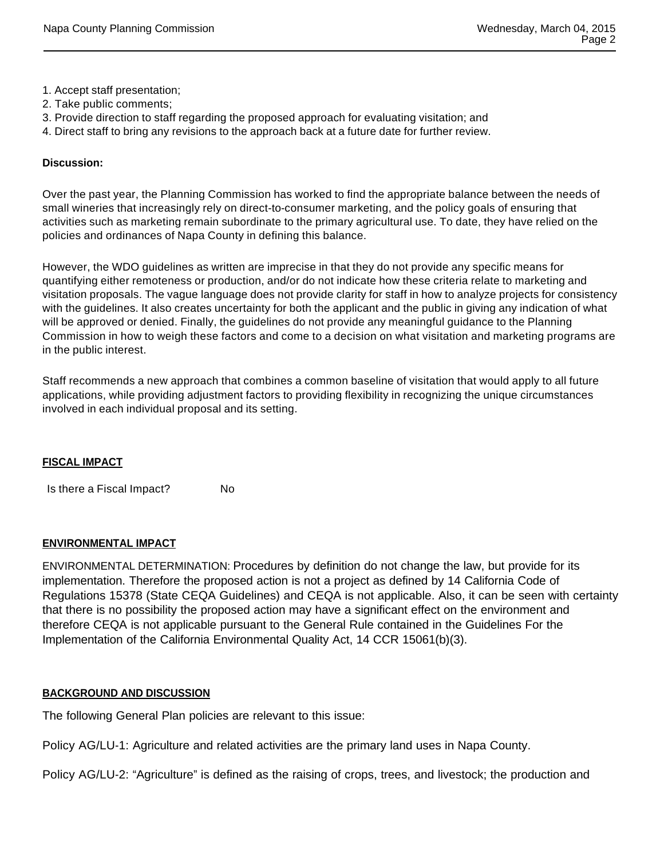- 1. Accept staff presentation;
- 2. Take public comments;
- 3. Provide direction to staff regarding the proposed approach for evaluating visitation; and
- 4. Direct staff to bring any revisions to the approach back at a future date for further review.

#### **Discussion:**

Over the past year, the Planning Commission has worked to find the appropriate balance between the needs of small wineries that increasingly rely on direct-to-consumer marketing, and the policy goals of ensuring that activities such as marketing remain subordinate to the primary agricultural use. To date, they have relied on the policies and ordinances of Napa County in defining this balance.

However, the WDO guidelines as written are imprecise in that they do not provide any specific means for quantifying either remoteness or production, and/or do not indicate how these criteria relate to marketing and visitation proposals. The vague language does not provide clarity for staff in how to analyze projects for consistency with the guidelines. It also creates uncertainty for both the applicant and the public in giving any indication of what will be approved or denied. Finally, the guidelines do not provide any meaningful guidance to the Planning Commission in how to weigh these factors and come to a decision on what visitation and marketing programs are in the public interest.

Staff recommends a new approach that combines a common baseline of visitation that would apply to all future applications, while providing adjustment factors to providing flexibility in recognizing the unique circumstances involved in each individual proposal and its setting.

#### **FISCAL IMPACT**

Is there a Fiscal Impact? No

#### **ENVIRONMENTAL IMPACT**

ENVIRONMENTAL DETERMINATION: Procedures by definition do not change the law, but provide for its implementation. Therefore the proposed action is not a project as defined by 14 California Code of Regulations 15378 (State CEQA Guidelines) and CEQA is not applicable. Also, it can be seen with certainty that there is no possibility the proposed action may have a significant effect on the environment and therefore CEQA is not applicable pursuant to the General Rule contained in the Guidelines For the Implementation of the California Environmental Quality Act, 14 CCR 15061(b)(3).

#### **BACKGROUND AND DISCUSSION**

The following General Plan policies are relevant to this issue:

Policy AG/LU-1: Agriculture and related activities are the primary land uses in Napa County.

Policy AG/LU-2: "Agriculture" is defined as the raising of crops, trees, and livestock; the production and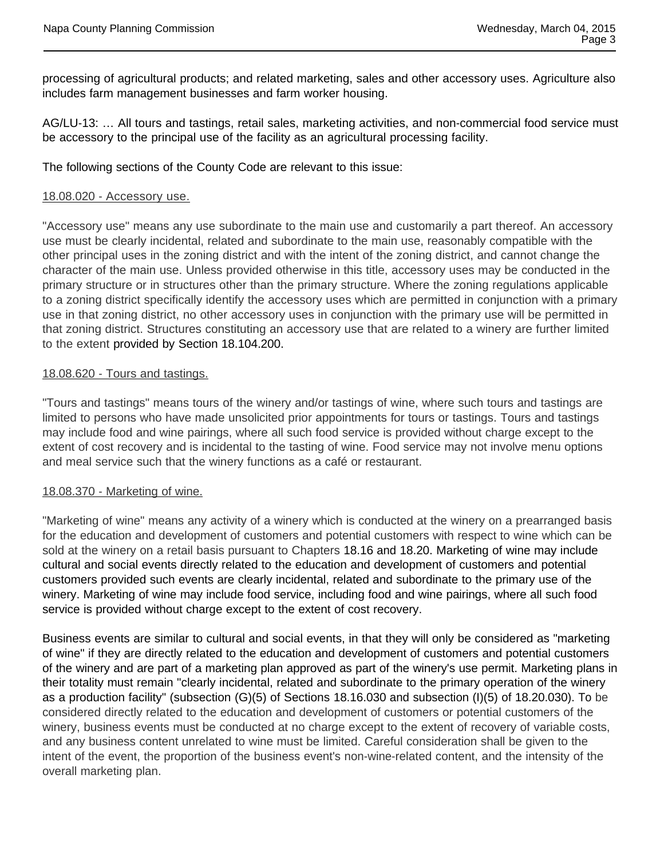processing of agricultural products; and related marketing, sales and other accessory uses. Agriculture also includes farm management businesses and farm worker housing.

AG/LU-13: … All tours and tastings, retail sales, marketing activities, and non-commercial food service must be accessory to the principal use of the facility as an agricultural processing facility.

The following sections of the County Code are relevant to this issue:

#### 18.08.020 - Accessory use.

"Accessory use" means any use subordinate to the main use and customarily a part thereof. An accessory use must be clearly incidental, related and subordinate to the main use, reasonably compatible with the other principal uses in the zoning district and with the intent of the zoning district, and cannot change the character of the main use. Unless provided otherwise in this title, accessory uses may be conducted in the primary structure or in structures other than the primary structure. Where the zoning regulations applicable to a zoning district specifically identify the accessory uses which are permitted in conjunction with a primary use in that zoning district, no other accessory uses in conjunction with the primary use will be permitted in that zoning district. Structures constituting an accessory use that are related to a winery are further limited to the extent provided by Section 18.104.200.

### 18.08.620 - Tours and tastings.

"Tours and tastings" means tours of the winery and/or tastings of wine, where such tours and tastings are limited to persons who have made unsolicited prior appointments for tours or tastings. Tours and tastings may include food and wine pairings, where all such food service is provided without charge except to the extent of cost recovery and is incidental to the tasting of wine. Food service may not involve menu options and meal service such that the winery functions as a café or restaurant.

#### 18.08.370 - Marketing of wine.

"Marketing of wine" means any activity of a winery which is conducted at the winery on a prearranged basis for the education and development of customers and potential customers with respect to wine which can be sold at the winery on a retail basis pursuant to Chapters 18.16 and 18.20. Marketing of wine may include cultural and social events directly related to the education and development of customers and potential customers provided such events are clearly incidental, related and subordinate to the primary use of the winery. Marketing of wine may include food service, including food and wine pairings, where all such food service is provided without charge except to the extent of cost recovery.

Business events are similar to cultural and social events, in that they will only be considered as "marketing of wine" if they are directly related to the education and development of customers and potential customers of the winery and are part of a marketing plan approved as part of the winery's use permit. Marketing plans in their totality must remain "clearly incidental, related and subordinate to the primary operation of the winery as a production facility" (subsection (G)(5) of Sections 18.16.030 and subsection (I)(5) of 18.20.030). To be considered directly related to the education and development of customers or potential customers of the winery, business events must be conducted at no charge except to the extent of recovery of variable costs, and any business content unrelated to wine must be limited. Careful consideration shall be given to the intent of the event, the proportion of the business event's non-wine-related content, and the intensity of the overall marketing plan.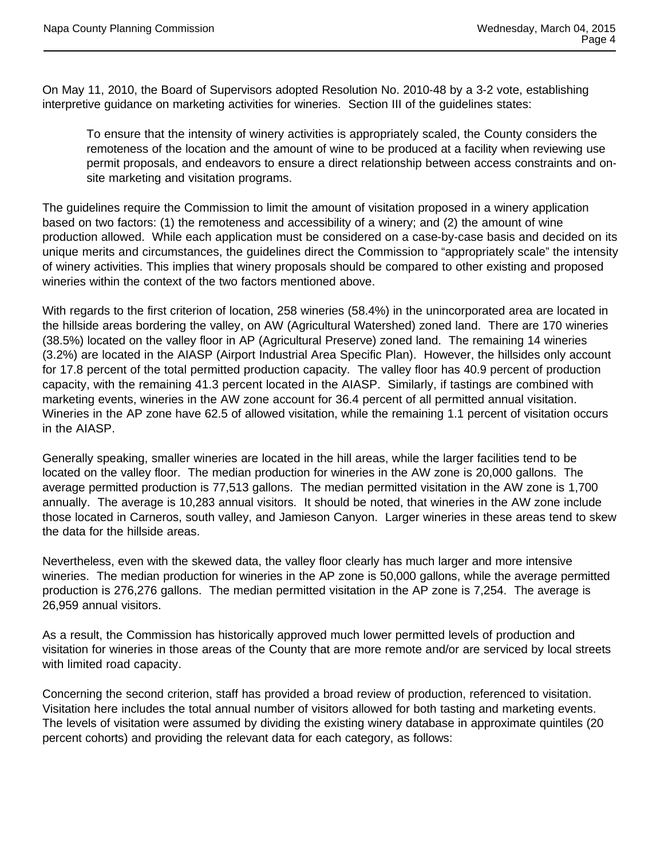On May 11, 2010, the Board of Supervisors adopted Resolution No. 2010-48 by a 3-2 vote, establishing interpretive guidance on marketing activities for wineries. Section III of the guidelines states:

To ensure that the intensity of winery activities is appropriately scaled, the County considers the remoteness of the location and the amount of wine to be produced at a facility when reviewing use permit proposals, and endeavors to ensure a direct relationship between access constraints and onsite marketing and visitation programs.

The guidelines require the Commission to limit the amount of visitation proposed in a winery application based on two factors: (1) the remoteness and accessibility of a winery; and (2) the amount of wine production allowed. While each application must be considered on a case-by-case basis and decided on its unique merits and circumstances, the guidelines direct the Commission to "appropriately scale" the intensity of winery activities. This implies that winery proposals should be compared to other existing and proposed wineries within the context of the two factors mentioned above.

With regards to the first criterion of location, 258 wineries (58.4%) in the unincorporated area are located in the hillside areas bordering the valley, on AW (Agricultural Watershed) zoned land. There are 170 wineries (38.5%) located on the valley floor in AP (Agricultural Preserve) zoned land. The remaining 14 wineries (3.2%) are located in the AIASP (Airport Industrial Area Specific Plan). However, the hillsides only account for 17.8 percent of the total permitted production capacity. The valley floor has 40.9 percent of production capacity, with the remaining 41.3 percent located in the AIASP. Similarly, if tastings are combined with marketing events, wineries in the AW zone account for 36.4 percent of all permitted annual visitation. Wineries in the AP zone have 62.5 of allowed visitation, while the remaining 1.1 percent of visitation occurs in the AIASP.

Generally speaking, smaller wineries are located in the hill areas, while the larger facilities tend to be located on the valley floor. The median production for wineries in the AW zone is 20,000 gallons. The average permitted production is 77,513 gallons. The median permitted visitation in the AW zone is 1,700 annually. The average is 10,283 annual visitors. It should be noted, that wineries in the AW zone include those located in Carneros, south valley, and Jamieson Canyon. Larger wineries in these areas tend to skew the data for the hillside areas.

Nevertheless, even with the skewed data, the valley floor clearly has much larger and more intensive wineries. The median production for wineries in the AP zone is 50,000 gallons, while the average permitted production is 276,276 gallons. The median permitted visitation in the AP zone is 7,254. The average is 26,959 annual visitors.

As a result, the Commission has historically approved much lower permitted levels of production and visitation for wineries in those areas of the County that are more remote and/or are serviced by local streets with limited road capacity.

Concerning the second criterion, staff has provided a broad review of production, referenced to visitation. Visitation here includes the total annual number of visitors allowed for both tasting and marketing events. The levels of visitation were assumed by dividing the existing winery database in approximate quintiles (20 percent cohorts) and providing the relevant data for each category, as follows: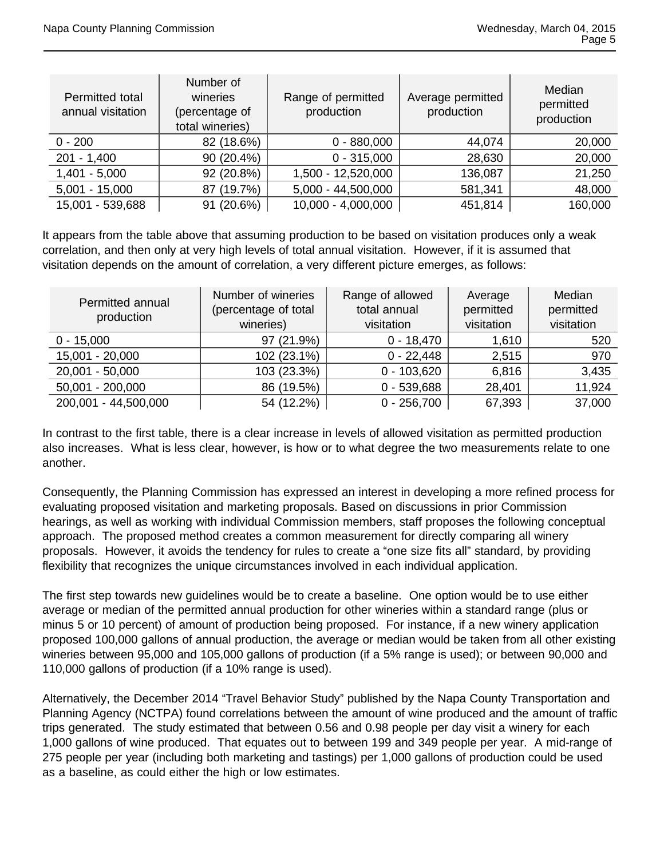| Permitted total<br>annual visitation | Number of<br>wineries<br>(percentage of<br>total wineries) | Range of permitted<br>production | Average permitted<br>production | Median<br>permitted<br>production |
|--------------------------------------|------------------------------------------------------------|----------------------------------|---------------------------------|-----------------------------------|
| $0 - 200$                            | 82 (18.6%)                                                 | $0 - 880,000$                    | 44,074                          | 20,000                            |
| $201 - 1,400$                        | 90 (20.4%)                                                 | $0 - 315,000$                    | 28,630                          | 20,000                            |
| $1,401 - 5,000$                      | 92 (20.8%)                                                 | 1,500 - 12,520,000               | 136,087                         | 21,250                            |
| $5,001 - 15,000$                     | 87 (19.7%)                                                 | 5,000 - 44,500,000               | 581,341                         | 48,000                            |
| 15,001 - 539,688                     | 91 (20.6%)                                                 | 10,000 - 4,000,000               | 451,814                         | 160,000                           |

It appears from the table above that assuming production to be based on visitation produces only a weak correlation, and then only at very high levels of total annual visitation. However, if it is assumed that visitation depends on the amount of correlation, a very different picture emerges, as follows:

| Permitted annual<br>production | Number of wineries<br>(percentage of total<br>wineries) | Range of allowed<br>total annual<br>visitation | Average<br>permitted<br>visitation | Median<br>permitted<br>visitation |
|--------------------------------|---------------------------------------------------------|------------------------------------------------|------------------------------------|-----------------------------------|
| $0 - 15,000$                   | 97 (21.9%)                                              | $0 - 18,470$                                   | 1,610                              | 520                               |
| 15,001 - 20,000                | 102 (23.1%)                                             | $0 - 22,448$                                   | 2,515                              | 970                               |
| $20,001 - 50,000$              | 103 (23.3%)                                             | $0 - 103,620$                                  | 6,816                              | 3,435                             |
| $50,001 - 200,000$             | 86 (19.5%)                                              | $0 - 539,688$                                  | 28,401                             | 11,924                            |
| 200,001 - 44,500,000           | 54 (12.2%)                                              | $0 - 256,700$                                  | 67,393                             | 37,000                            |

In contrast to the first table, there is a clear increase in levels of allowed visitation as permitted production also increases. What is less clear, however, is how or to what degree the two measurements relate to one another.

Consequently, the Planning Commission has expressed an interest in developing a more refined process for evaluating proposed visitation and marketing proposals. Based on discussions in prior Commission hearings, as well as working with individual Commission members, staff proposes the following conceptual approach. The proposed method creates a common measurement for directly comparing all winery proposals. However, it avoids the tendency for rules to create a "one size fits all" standard, by providing flexibility that recognizes the unique circumstances involved in each individual application.

The first step towards new guidelines would be to create a baseline. One option would be to use either average or median of the permitted annual production for other wineries within a standard range (plus or minus 5 or 10 percent) of amount of production being proposed. For instance, if a new winery application proposed 100,000 gallons of annual production, the average or median would be taken from all other existing wineries between 95,000 and 105,000 gallons of production (if a 5% range is used); or between 90,000 and 110,000 gallons of production (if a 10% range is used).

Alternatively, the December 2014 "Travel Behavior Study" published by the Napa County Transportation and Planning Agency (NCTPA) found correlations between the amount of wine produced and the amount of traffic trips generated. The study estimated that between 0.56 and 0.98 people per day visit a winery for each 1,000 gallons of wine produced. That equates out to between 199 and 349 people per year. A mid-range of 275 people per year (including both marketing and tastings) per 1,000 gallons of production could be used as a baseline, as could either the high or low estimates.